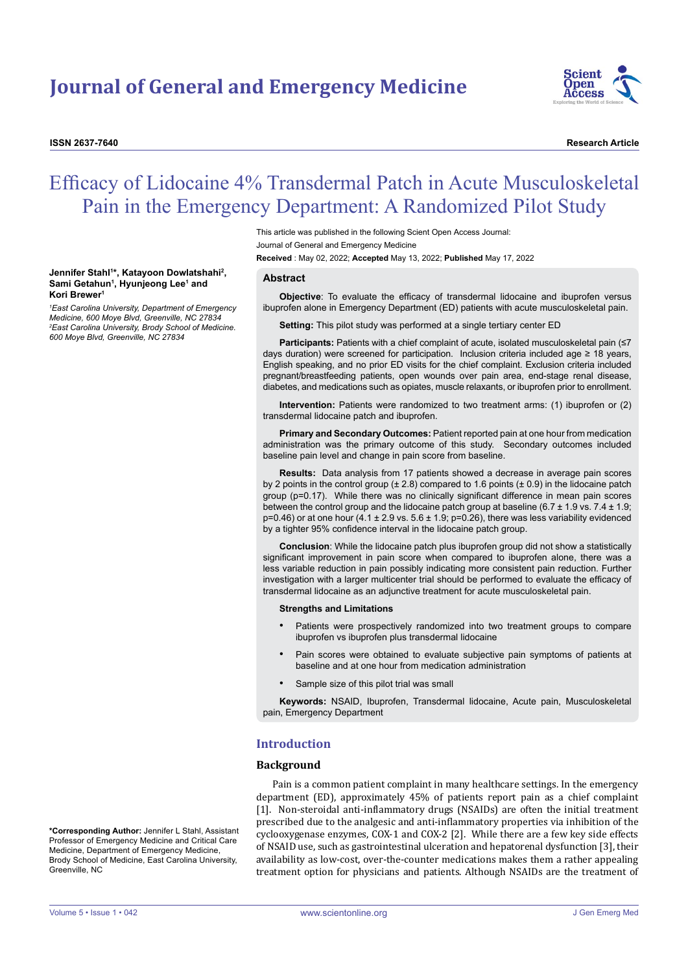**Kori Brewer1**

**Jennifer Stahl1 \*, Katayoon Dowlatshahi2 , Sami Getahun1 , Hyunjeong Lee1 and** 

*1 East Carolina University, Department of Emergency Medicine, 600 Moye Blvd, Greenville, NC 27834 2 East Carolina University, Brody School of Medicine.* 

*600 Moye Blvd, Greenville, NC 27834*



**ISSN 2637-7640 Research Article**

# Efficacy of Lidocaine 4% Transdermal Patch in Acute Musculoskeletal Pain in the Emergency Department: A Randomized Pilot Study

This article was published in the following Scient Open Access Journal: Journal of General and Emergency Medicine

**Received** : May 02, 2022; **Accepted** May 13, 2022; **Published** May 17, 2022

#### **Abstract**

**Objective**: To evaluate the efficacy of transdermal lidocaine and ibuprofen versus ibuprofen alone in Emergency Department (ED) patients with acute musculoskeletal pain.

**Setting:** This pilot study was performed at a single tertiary center ED

**Participants:** Patients with a chief complaint of acute, isolated musculoskeletal pain (≤7 days duration) were screened for participation. Inclusion criteria included age ≥ 18 years, English speaking, and no prior ED visits for the chief complaint. Exclusion criteria included pregnant/breastfeeding patients, open wounds over pain area, end-stage renal disease, diabetes, and medications such as opiates, muscle relaxants, or ibuprofen prior to enrollment.

**Intervention:** Patients were randomized to two treatment arms: (1) ibuprofen or (2) transdermal lidocaine patch and ibuprofen.

**Primary and Secondary Outcomes:** Patient reported pain at one hour from medication administration was the primary outcome of this study. Secondary outcomes included baseline pain level and change in pain score from baseline.

**Results:** Data analysis from 17 patients showed a decrease in average pain scores by 2 points in the control group (± 2.8) compared to 1.6 points (± 0.9) in the lidocaine patch group (p=0.17). While there was no clinically significant difference in mean pain scores between the control group and the lidocaine patch group at baseline  $(6.7 \pm 1.9 \text{ vs. } 7.4 \pm 1.9)$ ;  $p=0.46$ ) or at one hour (4.1  $\pm$  2.9 vs. 5.6  $\pm$  1.9; p=0.26), there was less variability evidenced by a tighter 95% confidence interval in the lidocaine patch group.

**Conclusion**: While the lidocaine patch plus ibuprofen group did not show a statistically significant improvement in pain score when compared to ibuprofen alone, there was a less variable reduction in pain possibly indicating more consistent pain reduction. Further investigation with a larger multicenter trial should be performed to evaluate the efficacy of transdermal lidocaine as an adjunctive treatment for acute musculoskeletal pain.

**Strengths and Limitations**

- Patients were prospectively randomized into two treatment groups to compare ibuprofen vs ibuprofen plus transdermal lidocaine
- Pain scores were obtained to evaluate subjective pain symptoms of patients at baseline and at one hour from medication administration
- Sample size of this pilot trial was small

**Keywords:** NSAID, Ibuprofen, Transdermal lidocaine, Acute pain, Musculoskeletal pain, Emergency Department

## **Introduction**

#### **Background**

Pain is a common patient complaint in many healthcare settings. In the emergency department (ED), approximately 45% of patients report pain as a chief complaint [1]. Non-steroidal anti-inflammatory drugs (NSAIDs) are often the initial treatment prescribed due to the analgesic and anti-inflammatory properties via inhibition of the cyclooxygenase enzymes, COX-1 and COX-2 [2]. While there are a few key side effects of NSAID use, such as gastrointestinal ulceration and hepatorenal dysfunction [3], their availability as low-cost, over-the-counter medications makes them a rather appealing treatment option for physicians and patients. Although NSAIDs are the treatment of

**\*Corresponding Author:** Jennifer L Stahl, Assistant Professor of Emergency Medicine and Critical Care Medicine, Department of Emergency Medicine, Brody School of Medicine, East Carolina University, Greenville, NC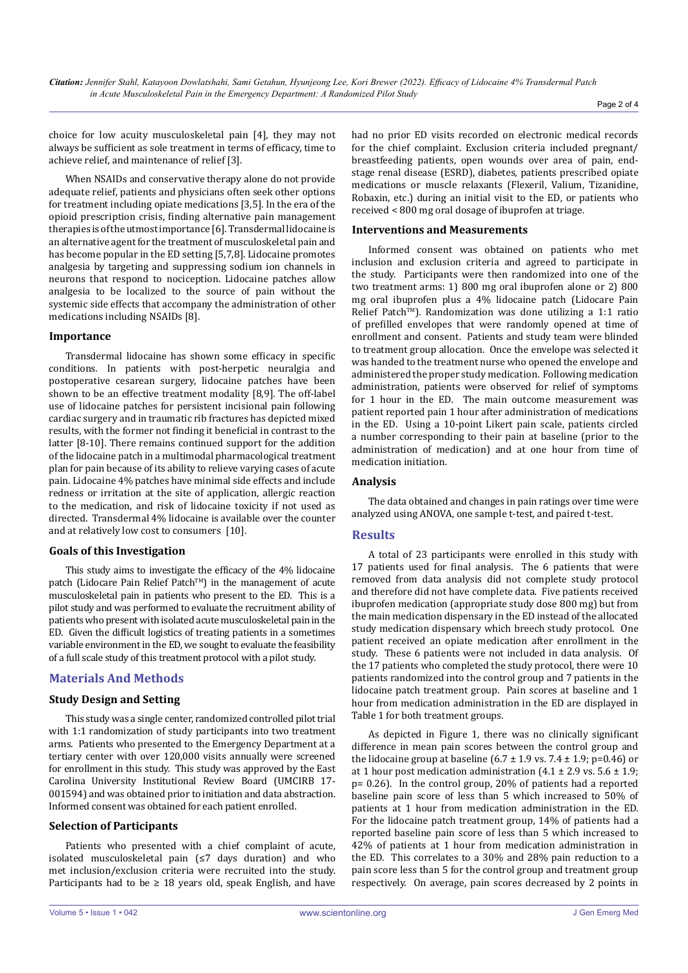choice for low acuity musculoskeletal pain [4], they may not always be sufficient as sole treatment in terms of efficacy, time to achieve relief, and maintenance of relief [3].

When NSAIDs and conservative therapy alone do not provide adequate relief, patients and physicians often seek other options for treatment including opiate medications [3,5]. In the era of the opioid prescription crisis, finding alternative pain management therapies is of the utmost importance [6]. Transdermal lidocaine is an alternative agent for the treatment of musculoskeletal pain and has become popular in the ED setting [5,7,8]. Lidocaine promotes analgesia by targeting and suppressing sodium ion channels in neurons that respond to nociception. Lidocaine patches allow analgesia to be localized to the source of pain without the systemic side effects that accompany the administration of other medications including NSAIDs [8].

## **Importance**

Transdermal lidocaine has shown some efficacy in specific conditions. In patients with post-herpetic neuralgia and postoperative cesarean surgery, lidocaine patches have been shown to be an effective treatment modality [8,9]. The off-label use of lidocaine patches for persistent incisional pain following cardiac surgery and in traumatic rib fractures has depicted mixed results, with the former not finding it beneficial in contrast to the latter [8-10]. There remains continued support for the addition of the lidocaine patch in a multimodal pharmacological treatment plan for pain because of its ability to relieve varying cases of acute pain. Lidocaine 4% patches have minimal side effects and include redness or irritation at the site of application, allergic reaction to the medication, and risk of lidocaine toxicity if not used as directed. Transdermal 4% lidocaine is available over the counter and at relatively low cost to consumers [10].

## **Goals of this Investigation**

This study aims to investigate the efficacy of the 4% lidocaine patch (Lidocare Pain Relief Patch™) in the management of acute musculoskeletal pain in patients who present to the ED. This is a pilot study and was performed to evaluate the recruitment ability of patients who present with isolated acute musculoskeletal pain in the ED. Given the difficult logistics of treating patients in a sometimes variable environment in the ED, we sought to evaluate the feasibility of a full scale study of this treatment protocol with a pilot study.

# **Materials And Methods**

## **Study Design and Setting**

This study was a single center, randomized controlled pilot trial with 1:1 randomization of study participants into two treatment arms. Patients who presented to the Emergency Department at a tertiary center with over 120,000 visits annually were screened for enrollment in this study. This study was approved by the East Carolina University Institutional Review Board (UMCIRB 17- 001594) and was obtained prior to initiation and data abstraction. Informed consent was obtained for each patient enrolled.

#### **Selection of Participants**

Patients who presented with a chief complaint of acute, isolated musculoskeletal pain (≤7 days duration) and who met inclusion/exclusion criteria were recruited into the study. Participants had to be  $\geq$  18 years old, speak English, and have had no prior ED visits recorded on electronic medical records for the chief complaint. Exclusion criteria included pregnant/ breastfeeding patients, open wounds over area of pain, endstage renal disease (ESRD), diabetes, patients prescribed opiate medications or muscle relaxants (Flexeril, Valium, Tizanidine, Robaxin, etc.) during an initial visit to the ED, or patients who received < 800 mg oral dosage of ibuprofen at triage.

#### **Interventions and Measurements**

Informed consent was obtained on patients who met inclusion and exclusion criteria and agreed to participate in the study. Participants were then randomized into one of the two treatment arms: 1) 800 mg oral ibuprofen alone or 2) 800 mg oral ibuprofen plus a 4% lidocaine patch (Lidocare Pain Relief Patch™). Randomization was done utilizing a 1:1 ratio of prefilled envelopes that were randomly opened at time of enrollment and consent. Patients and study team were blinded to treatment group allocation. Once the envelope was selected it was handed to the treatment nurse who opened the envelope and administered the proper study medication. Following medication administration, patients were observed for relief of symptoms for 1 hour in the ED. The main outcome measurement was patient reported pain 1 hour after administration of medications in the ED. Using a 10-point Likert pain scale, patients circled a number corresponding to their pain at baseline (prior to the administration of medication) and at one hour from time of medication initiation.

## **Analysis**

The data obtained and changes in pain ratings over time were analyzed using ANOVA, one sample t-test, and paired t-test.

## **Results**

A total of 23 participants were enrolled in this study with 17 patients used for final analysis. The 6 patients that were removed from data analysis did not complete study protocol and therefore did not have complete data. Five patients received ibuprofen medication (appropriate study dose 800 mg) but from the main medication dispensary in the ED instead of the allocated study medication dispensary which breech study protocol. One patient received an opiate medication after enrollment in the study. These 6 patients were not included in data analysis. Of the 17 patients who completed the study protocol, there were 10 patients randomized into the control group and 7 patients in the lidocaine patch treatment group. Pain scores at baseline and 1 hour from medication administration in the ED are displayed in Table 1 for both treatment groups.

As depicted in Figure 1, there was no clinically significant difference in mean pain scores between the control group and the lidocaine group at baseline  $(6.7 \pm 1.9 \text{ vs. } 7.4 \pm 1.9; \text{ p=0.46})$  or at 1 hour post medication administration  $(4.1 \pm 2.9 \text{ vs. } 5.6 \pm 1.9)$ ; p= 0.26). In the control group, 20% of patients had a reported baseline pain score of less than 5 which increased to 50% of patients at 1 hour from medication administration in the ED. For the lidocaine patch treatment group, 14% of patients had a reported baseline pain score of less than 5 which increased to 42% of patients at 1 hour from medication administration in the ED. This correlates to a 30% and 28% pain reduction to a pain score less than 5 for the control group and treatment group respectively. On average, pain scores decreased by 2 points in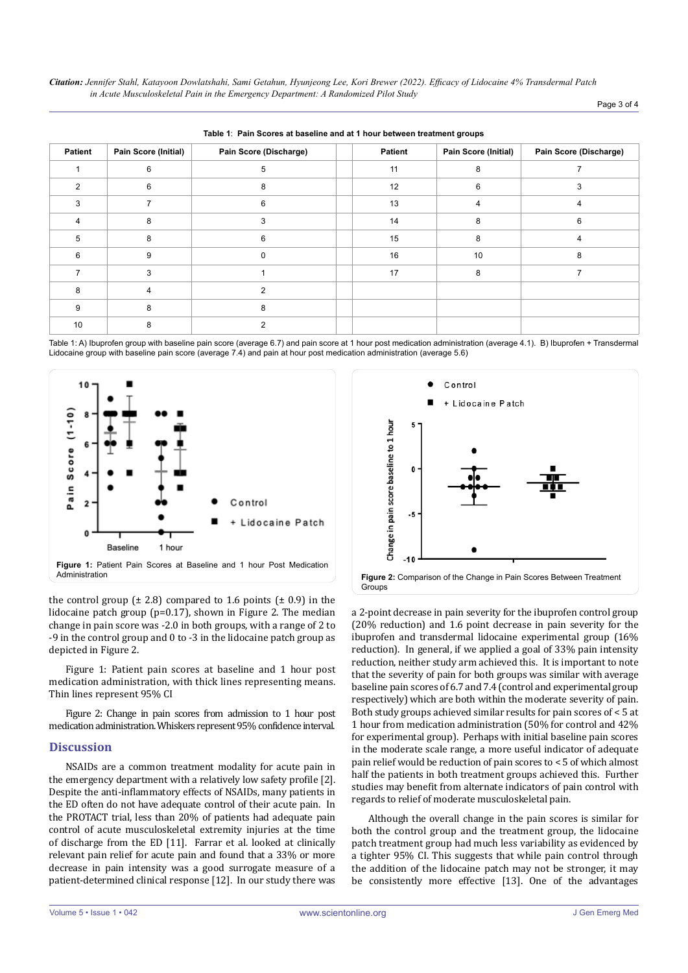*Citation: Jennifer Stahl, Katayoon Dowlatshahi, Sami Getahun, Hyunjeong Lee, Kori Brewer (2022). Efficacy of Lidocaine 4% Transdermal Patch in Acute Musculoskeletal Pain in the Emergency Department: A Randomized Pilot Study*

| Page 3 of 4 |  |  |  |
|-------------|--|--|--|
|-------------|--|--|--|

| rapid 1: 1 and 000100 at pagemio and at 1 hour bethoon a catmont groups. |                      |                        |  |         |                      |                        |  |  |
|--------------------------------------------------------------------------|----------------------|------------------------|--|---------|----------------------|------------------------|--|--|
| <b>Patient</b>                                                           | Pain Score (Initial) | Pain Score (Discharge) |  | Patient | Pain Score (Initial) | Pain Score (Discharge) |  |  |
|                                                                          | 6                    | 5                      |  | 11      | 8                    |                        |  |  |
| $\mathcal{P}$                                                            | 6                    | 8                      |  | 12      | 6                    | 3                      |  |  |
| 3                                                                        |                      | 6                      |  | 13      | 4                    | 4                      |  |  |
|                                                                          | 8                    | 3                      |  | 14      | 8                    | 6                      |  |  |
| 5                                                                        | 8                    | 6                      |  | 15      | 8                    |                        |  |  |
| 6                                                                        | 9                    | $\Omega$               |  | 16      | 10                   | 8                      |  |  |
|                                                                          | 3                    |                        |  | 17      | 8                    |                        |  |  |
| 8                                                                        | 4                    | 2                      |  |         |                      |                        |  |  |
| 9                                                                        | 8                    | 8                      |  |         |                      |                        |  |  |
| 10 <sup>1</sup>                                                          | 8                    |                        |  |         |                      |                        |  |  |

**Table 1**: **Pain Scores at baseline and at 1 hour between treatment groups**

Table 1: A) Ibuprofen group with baseline pain score (average 6.7) and pain score at 1 hour post medication administration (average 4.1). B) Ibuprofen + Transdermal Lidocaine group with baseline pain score (average 7.4) and pain at hour post medication administration (average 5.6)



the control group  $(\pm 2.8)$  compared to 1.6 points  $(\pm 0.9)$  in the lidocaine patch group (p=0.17), shown in Figure 2. The median change in pain score was -2.0 in both groups, with a range of 2 to -9 in the control group and 0 to -3 in the lidocaine patch group as depicted in Figure 2.

Figure 1: Patient pain scores at baseline and 1 hour post medication administration, with thick lines representing means. Thin lines represent 95% CI

Figure 2: Change in pain scores from admission to 1 hour post medication administration. Whiskers represent 95% confidence interval.

## **Discussion**

NSAIDs are a common treatment modality for acute pain in the emergency department with a relatively low safety profile [2]. Despite the anti-inflammatory effects of NSAIDs, many patients in the ED often do not have adequate control of their acute pain. In the PROTACT trial, less than 20% of patients had adequate pain control of acute musculoskeletal extremity injuries at the time of discharge from the ED [11]. Farrar et al. looked at clinically relevant pain relief for acute pain and found that a 33% or more decrease in pain intensity was a good surrogate measure of a patient-determined clinical response [12]. In our study there was



a 2-point decrease in pain severity for the ibuprofen control group (20% reduction) and 1.6 point decrease in pain severity for the ibuprofen and transdermal lidocaine experimental group (16% reduction). In general, if we applied a goal of 33% pain intensity reduction, neither study arm achieved this. It is important to note that the severity of pain for both groups was similar with average baseline pain scores of 6.7 and 7.4 (control and experimental group respectively) which are both within the moderate severity of pain. Both study groups achieved similar results for pain scores of < 5 at 1 hour from medication administration (50% for control and 42% for experimental group). Perhaps with initial baseline pain scores in the moderate scale range, a more useful indicator of adequate pain relief would be reduction of pain scores to < 5 of which almost half the patients in both treatment groups achieved this. Further studies may benefit from alternate indicators of pain control with regards to relief of moderate musculoskeletal pain.

Although the overall change in the pain scores is similar for both the control group and the treatment group, the lidocaine patch treatment group had much less variability as evidenced by a tighter 95% CI. This suggests that while pain control through the addition of the lidocaine patch may not be stronger, it may be consistently more effective [13]. One of the advantages